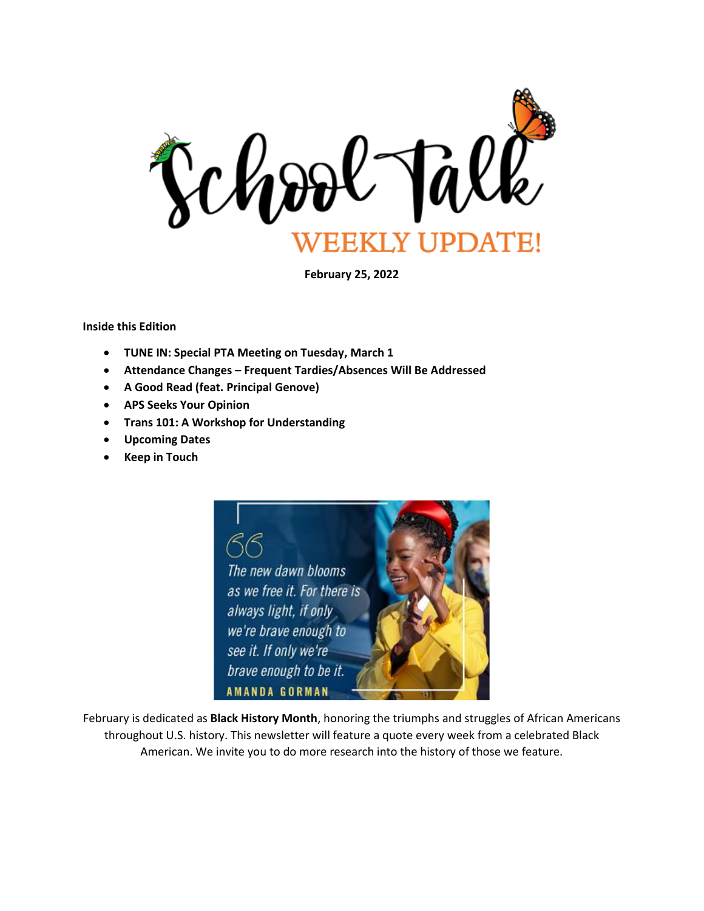

**February 25, 2022**

**Inside this Edition**

- **TUNE IN: Special PTA Meeting on Tuesday, March 1**
- **Attendance Changes – Frequent Tardies/Absences Will Be Addressed**
- **A Good Read (feat. Principal Genove)**
- **APS Seeks Your Opinion**
- **Trans 101: A Workshop for Understanding**
- **Upcoming Dates**
- **Keep in Touch**



February is dedicated as **Black History Month**, honoring the triumphs and struggles of African Americans throughout U.S. history. This newsletter will feature a quote every week from a celebrated Black American. We invite you to do more research into the history of those we feature.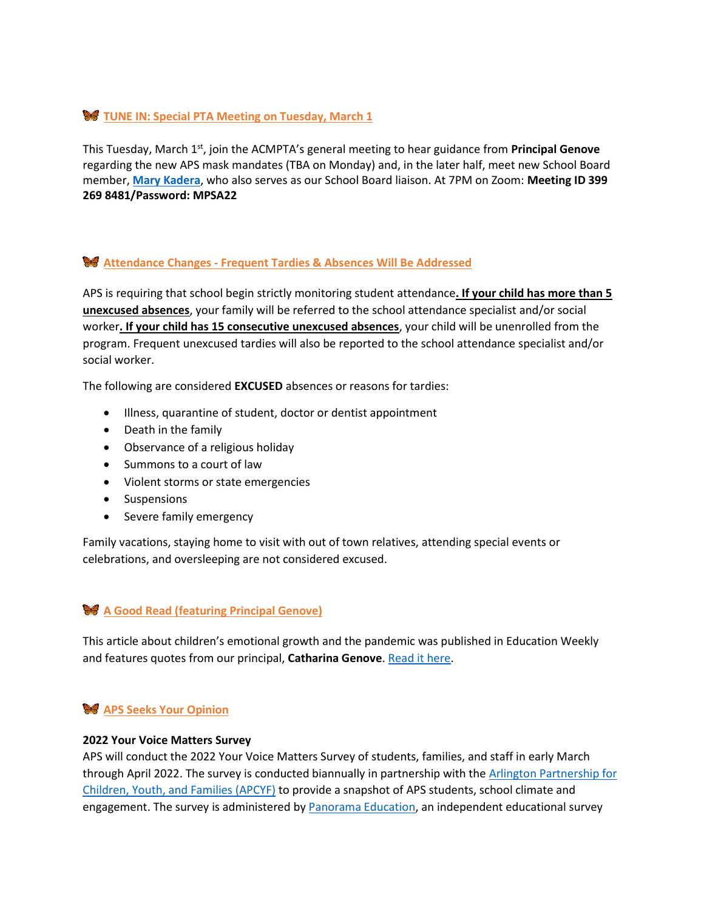# **W** TUNE IN: Special PTA Meeting on Tuesday, March 1

This Tuesday, March 1<sup>st</sup>, join the ACMPTA's general meeting to hear guidance from **Principal Genove** regarding the new APS mask mandates (TBA on Monday) and, in the later half, meet new School Board member, **[Mary Kadera](https://www.apsva.us/school-board-members/mary-kadera/)**, who also serves as our School Board liaison. At 7PM on Zoom: **Meeting ID 399 269 8481/Password: MPSA22**

### **Attendance Changes - Frequent Tardies & Absences Will Be Addressed**

APS is requiring that school begin strictly monitoring student attendance**. If your child has more than 5 unexcused absences**, your family will be referred to the school attendance specialist and/or social worker**. If your child has 15 consecutive unexcused absences**, your child will be unenrolled from the program. Frequent unexcused tardies will also be reported to the school attendance specialist and/or social worker.

The following are considered **EXCUSED** absences or reasons for tardies:

- Illness, quarantine of student, doctor or dentist appointment
- Death in the family
- Observance of a religious holiday
- Summons to a court of law
- Violent storms or state emergencies
- Suspensions
- Severe family emergency

Family vacations, staying home to visit with out of town relatives, attending special events or celebrations, and oversleeping are not considered excused.

## **A Good Read (featuring Principal Genove)**

This article about children's emotional growth and the pandemic was published in Education Weekly and features quotes from our principal, **Catharina Genove**[. Read it here.](https://www.edweek.org/leadership/educators-see-gaps-in-kids-emotional-growth-due-to-pandemic/2022/02?utm_source=nl&utm_medium=eml&utm_campaign=eu&M=64316665&U=1750334&UUID=730857586eeb7ed401e85c67a078929a)

### **APS Seeks Your Opinion**

#### **2022 Your Voice Matters Survey**

APS will conduct the 2022 Your Voice Matters Survey of students, families, and staff in early March through April 2022. The survey is conducted biannually in partnership with the [Arlington Partnership for](http://track.spe.schoolmessenger.com/f/a/6MfaDO-UVYlYLWv77rBNIg~~/AAAAAQA~/RgRj-TXFP0QdaHR0cHM6Ly9hcGN5Zi5hcmxpbmd0b252YS51cy9XB3NjaG9vbG1CCmIWRQIYYkWfA3xSHGtpYS5zdGV2ZW5zb25oYXluZXNAYXBzdmEudXNYBAAAAAE~)  [Children, Youth, and](http://track.spe.schoolmessenger.com/f/a/6MfaDO-UVYlYLWv77rBNIg~~/AAAAAQA~/RgRj-TXFP0QdaHR0cHM6Ly9hcGN5Zi5hcmxpbmd0b252YS51cy9XB3NjaG9vbG1CCmIWRQIYYkWfA3xSHGtpYS5zdGV2ZW5zb25oYXluZXNAYXBzdmEudXNYBAAAAAE~) Families (APCYF) to provide a snapshot of APS students, school climate and engagement. The survey is administered by **Panorama Education**, an independent educational survey